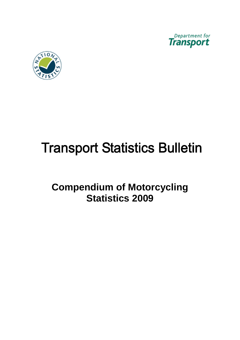



# **Transport Statistics Bulletin**

## **Compendium of Motorcycling Statistics 2009**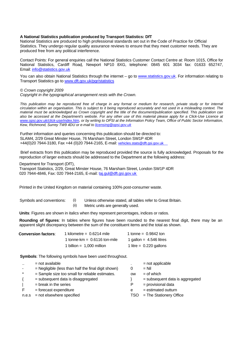#### **A National Statistics publication produced by Transport Statistics: DfT**

National Statistics are produced to high professional standards set out in the Code of Practice for Official Statistics. They undergo regular quality assurance reviews to ensure that they meet customer needs. They are produced free from any political interference.

Contact Points: For general enquiries call the National Statistics Customer Contact Centre at: Room 1015, Office for National Statistics, Cardiff Road, Newport NP10 8XG, telephone: 0845 601 3034 fax: 01633 652747, Email: [info@statistics.gov.uk](mailto:info@statistics.gov.uk) 

You can also obtain National Statistics through the internet – go to [www.statistics.gov.uk](http://www.statistics.gov.uk/). For information relating to Transport Statistics go to [www.dft.gov.uk/pgr/statistics](http://www.dft.gov.uk/pgr/statistics/) 

*© Crown copyright 2009* 

*Copyright in the typographical arrangement rests with the Crown.* 

*This publication may be reproduced free of charge in any format or medium for research, private study or for internal circulation within an organisation. This is subject to it being reproduced accurately and not used in a misleading context. The material must be acknowledged as Crown copyright and the title of the document/publication specified. This publication can also be accessed at the Department's website. For any other use of this material please apply for a Click-Use Licence at [www.opsi.gov.uk/click-use/index.htm](http://www.opsi.gov.uk/click-use/index.htm), or by writing to OPSI at the Information Policy Team, Office of Public Sector Information, Kew, Richmond, Surrey TW9 4DU or e-mail to [licensing@opsi.gov.uk](mailto:licensing@opsi.gov.uk)* 

Further information and queries concerning this publication should be directed to: SLAM4, 2/29 Great Minster House, 76 Marsham Street, London SW1P 4DR +44(0)20 7944-3180, Fax +44 (0)20 7944-2165, E-mail: vehicles[.stats@dft.gsi.gov.uk](mailto:roadfreight.stats@dft.gsi.gov.uk) 

Brief extracts from this publication may be reproduced provided the source is fully acknowledged. Proposals for the reproduction of larger extracts should be addressed to the Department at the following address:

Department for Transport (DfT),

Transport Statistics, 2/29, Great Minster House, 76 Marsham Street, London SW1P 4DR 020 7944-4846, Fax: 020 7944-2165, E-mail: taj.gul@dft.gsi.gov.uk

Printed in the United Kingdom on material containing 100% post-consumer waste.

- 
- Symbols and conventions: (i) Unless otherwise stated, all tables refer to Great Britain.
	- (ii) Metric units are generally used.

**Units**: Figures are shown in italics when they represent percentages, indices or ratios.

**Rounding of figures**: In tables where figures have been rounded to the nearest final digit, there may be an apparent slight discrepancy between the sum of the constituent items and the total as shown.

| <b>Conversion factors:</b> | 1 kilometre = $0.6214$ mile    | 1 tonne = $0.9842$ ton    |
|----------------------------|--------------------------------|---------------------------|
|                            | 1 tonne-km $= 0.6116$ ton-mile | 1 gallon = $4.546$ litres |
|                            | 1 billion = $1.000$ million    | 1 litre = $0.220$ gallons |

**Symbols**: The following symbols have been used throughout.

|                          | $=$ not available                                     |           | $=$ not applicable                |
|--------------------------|-------------------------------------------------------|-----------|-----------------------------------|
| $\overline{\phantom{a}}$ | $=$ Negligible (less than half the final digit shown) | 0         | $=$ Nil                           |
| $\star$                  | = Sample size too small for reliable estimates.       | <b>OW</b> | $=$ of which                      |
|                          | $=$ subsequent data is disaggregated                  |           | $=$ subsequent data is aggregated |
|                          | $=$ break in the series                               | P.        | = provisional data                |
|                          | $=$ forecast expenditure                              | e         | $=$ estimated outturn             |
| n.e.s                    | = not elsewhere specified                             | TSO       | = The Stationery Office           |
|                          |                                                       |           |                                   |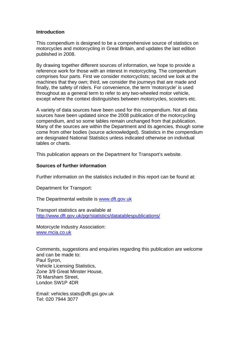#### **Introduction**

This compendium is designed to be a comprehensive source of statistics on motorcycles and motorcycling in Great Britain, and updates the last edition published in 2008.

By drawing together different sources of information, we hope to provide a reference work for those with an interest in motorcycling. The compendium comprises four parts. First we consider motorcyclists; second we look at the machines that they own; third, we consider the journeys that are made and finally, the safety of riders. For convenience, the term 'motorcycle' is used throughout as a general term to refer to any two-wheeled motor vehicle, except where the context distinguishes between motorcycles, scooters etc.

A variety of data sources have been used for this compendium. Not all data sources have been updated since the 2008 publication of the motorcycling compendium, and so some tables remain unchanged from that publication. Many of the sources are within the Department and its agencies, though some come from other bodies (source acknowledged). Statistics in the compendium are designated National Statistics unless indicated otherwise on individual tables or charts.

This publication appears on the Department for Transport's website.

#### **Sources of further information**

Further information on the statistics included in this report can be found at:

Department for Transport:

The Departmental website is [www.dft.gov.uk](http://www.dft.gov.uk/) 

<u>http://www.dft.gov.uk/pgr/statistics/datatablespublications/</u><br>Motorcycle Industry Association: Transport statistics are available at

[www.mcia.co.uk](http://www.mcia.co.uk/) 

Comments, suggestions and enquiries regarding this publication are welcome and can be made to: Paul Syron, Vehicle Licensing Statistics, Zone 3/9 Great Minster House, 76 Marsham Street, London SW1P 4DR

Email: vehicles.stats@dft.gsi.gov.uk Tel: 020 7944 3077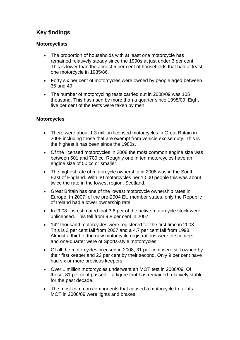## **Key findings**

#### **Motorcyclists**

- The proportion of households with at least one motorcycle has remained relatively steady since the 1990s at just under 3 per cent. This is lower than the almost 5 per cent of households that had at least one motorcycle in 1985/86.
- Forty six per cent of motorcycles were owned by people aged between 35 and 49.
- The number of motorcycling tests carried out in 2008/09 was 105 thousand. This has risen by more than a quarter since 1998/09. Eight five per cent of the tests were taken by men.

#### **Motorcycles**

- There were about 1.3 million licensed motorcycles in Great Britain in 2008 including those that are exempt from vehicle excise duty. This is the highest it has been since the 1980s.
- Of the licensed motorcycles in 2008 the most common engine size was between 501 and 700 cc. Roughly one in ten motorcycles have an engine size of 50 cc or smaller.
- The highest rate of motorcycle ownership in 2008 was in the South East of England. With 30 motorcycles per 1,000 people this was about twice the rate in the lowest region, Scotland.
- Great Britain has one of the lowest motorcycle ownership rates in Europe. In 2007, of the pre-2004 EU member states, only the Republic of Ireland had a lower ownership rate.
- In 2008 it is estimated that 3.6 per of the active motorcycle stock were unlicensed. This fell from 9.8 per cent in 2007.
- 142 thousand motorcycles were registered for the first time in 2008. This is 3 per cent fall from 2007 and a 4.7 per cent fall from 1998. Almost a third of the new motorcycle registrations were of scooters, and one-quarter were of Sports-style motorcycles.
- Of all the motorcycles licensed in 2008, 31 per cent were still owned by their first keeper and 22 per cent by their second. Only 9 per cent have had six or more previous keepers.
- Over 1 million motorcycles underwent an MOT test in 2008/09. Of these, 81 per cent passed – a figure that has remained relatively stable for the past decade.
- The most common components that caused a motorcycle to fail its MOT in 2008/09 were lights and brakes.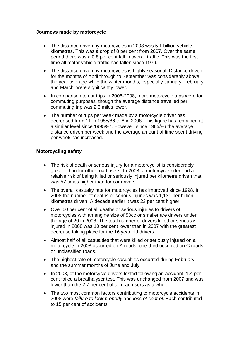#### **Journeys made by motorcycle**

- The distance driven by motorcycles in 2008 was 5.1 billion vehicle kilometres. This was a drop of 8 per cent from 2007. Over the same period there was a 0.8 per cent fall in overall traffic. This was the first time all motor vehicle traffic has fallen since 1979.
- The distance driven by motorcycles is highly seasonal. Distance driven for the months of April through to September was considerably above the year average while the winter months, especially January, February and March, were significantly lower.
- In comparison to car trips in 2006-2008, more motorcycle trips were for commuting purposes, though the average distance travelled per commuting trip was 2.3 miles lower.
- The number of trips per week made by a motorcycle driver has decreased from 11 in 1985/86 to 8 in 2008. This figure has remained at a similar level since 1995/97. However, since 1985/86 the average distance driven per week and the average amount of time spent driving per week has increased.

#### **Motorcycling safety**

- The risk of death or serious injury for a motorcyclist is considerably greater than for other road users. In 2008, a motorcycle rider had a relative risk of being killed or seriously injured per kilometre driven that was 57 times higher than for car drivers.
- The overall casualty rate for motorcycles has improved since 1998. In 2008 the number of deaths or serious injuries was 1,131 per billion kilometres driven. A decade earlier it was 23 per cent higher.
- Over 60 per cent of all deaths or serious injuries to drivers of motorcycles with an engine size of 50cc or smaller are drivers under the age of 20 in 2008. The total number of drivers killed or seriously injured in 2008 was 10 per cent lower than in 2007 with the greatest decrease taking place for the 16 year old drivers.
- Almost half of all casualties that were killed or seriously injured on a motorcycle in 2008 occurred on A roads; one-third occurred on C roads or unclassified roads.
- The highest rate of motorcycle casualties occurred during February and the summer months of June and July.
- In 2008, of the motorcycle drivers tested following an accident, 1.4 per cent failed a breathalyser test. This was unchanged from 2007 and was lower than the 2.7 per cent of all road users as a whole.
- The two most common factors contributing to motorcycle accidents in 2008 were *failure to look properly* and *loss of control*. Each contributed to 15 per cent of accidents.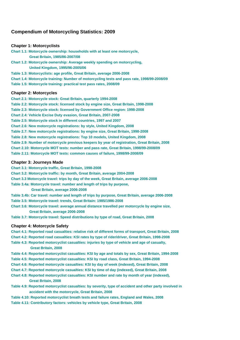#### **Compendium of Motorcycling Statistics: 2009**

#### **Chapter 1: Motorcyclists**

**Chart 1.1: Motorcycle ownership: households with at least one motorcycle, Great Britain, 1985/86-2007/08** 

- **Chart 1.2: Motorcycle ownership: Average weekly spending on motorcycling, United Kingdom, 1995/96-2005/06**
- **Table 1.3: Motorcyclists: age profile, Great Britain, average 2006-2008**
- **Chart 1.4: Motorcycle training: Number of motorcycling tests and pass rate, 1998/99-2008/09**
- **Table 1.5: Motorcycle training: practical test pass rates, 2008/09**

#### **Chapter 2: Motorcycles**

**Chart 2.1: Motorcycle stock: Great Britain, quarterly 1994-2008 Table 2.2: Motorcycle stock: licensed stock by engine size, Great Britain, 1998-2008 Table 2.3: Motorcycle stock: licensed by Government Office region: 1998-2008 Chart 2.4: Vehicle Excise Duty evasion, Great Britain, 2007-2008 Table 2.5: Motorcycle stock in different countries, 1997 and 2007 Chart 2.6: New motorcycle registrations: by style, United Kingdom, 2008 Table 2.7: New motorcycle registrations: by engine size, Great Britain, 1998-2008 Table 2.8: New motorcycle registrations: Top 10 models, United Kingdom, 2008 Table 2.9: Number of motorcycle previous keepers by year of registration, Great Britain, 2008 Chart 2.10: Motorcycle MOT tests: number and pass rate, Great Britain, 1998/99-2008/09 Table 2.11: Motorcycle MOT tests: common causes of failure, 1998/99-2008/09** 

#### **Chapter 3: Journeys Made**

**Chart 3.1: Motorcycle traffic, Great Britain, 1998-2008** 

- **Chart 3.2: Motorcycle traffic: by month, Great Britain, average 2004-2008**
- **Chart 3.3 Motorcycle travel: trips by day of the week, Great Britain, average 2006-2008**
- **Table 3.4a: Motorcycle travel: number and length of trips by purpose,**

 **Great Britain, average 2006-2008** 

- **Table 3.4b: Car travel: number and length of trips by purpose, Great Britain, average 2006-2008 Table 3.5: Motorcycle travel: trends, Great Britain: 1985/1986-2008**
- **Chart 3.6: Motorcycle travel: average annual distance travelled per motorcycle by engine size, Great Britain, average 2006-2008**
- **Table 3.7: Motorcycle travel: Speed distributions by type of road, Great Britain, 2008**

#### **Chapter 4: Motorcycle Safety**

- **Chart 4.1: Reported road casualties: relative risk of different forms of transport, Great Britain, 2008**
- **Chart 4.2: Reported road casualties: KSI rates by type of rider/driver, Great Britain, 1998-2008**
- **Table 4.3: Reported motorcyclist casualties: injuries by type of vehicle and age of casualty, Great Britain, 2008**
- **Table 4.4: Reported motorcyclist casualties: KSI by age and totals by sex, Great Britain, 1994-2008**
- **Table 4.5: Reported motorcyclist casualties: KSI by road class, Great Britain, 1994-2008**
- **Chart 4.6: Reported motorcycle casualties: KSI by day of week (indexed), Great Britain, 2008**
- **Chart 4.7: Reported motorcycle casualties: KSI by time of day (indexed), Great Britain, 2008**
- **Chart 4.8: Reported motorcyclist casualties: KSI number and rate by month of year (indexed), Great Britain, 2008**
- **Table 4.9: Reported motorcyclist casualties: by severity, type of accident and other party involved in accident with the motorcycle, Great Britain, 2008**
- **Table 4.10: Reported motorcyclist breath tests and failure rates, England and Wales, 2008**
- **Table 4.11: Contributory factors: vehicles by vehicle type, Great Britain, 2008**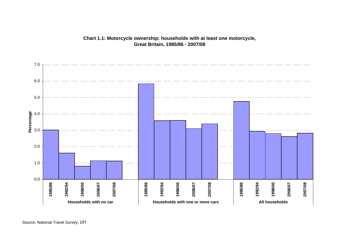

### **Chart 1.1: Motorcycle ownership: households with at least one motorcycle, Great Britain, 1985/86 - 2007/08**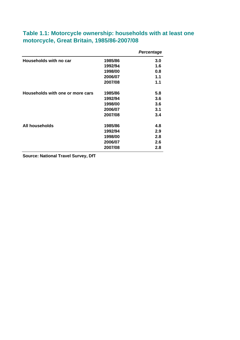|                                  |         | <b>Percentage</b> |
|----------------------------------|---------|-------------------|
| Households with no car           | 1985/86 | 3.0               |
|                                  | 1992/94 | 1.6               |
|                                  | 1998/00 | 0.8               |
|                                  | 2006/07 | 1.1               |
|                                  | 2007/08 | 1.1               |
| Households with one or more cars | 1985/86 | 5.8               |
|                                  | 1992/94 | 3.6               |
|                                  | 1998/00 | 3.6               |
|                                  | 2006/07 | 3.1               |
|                                  | 2007/08 | 3.4               |
| All households                   | 1985/86 | 4.8               |
|                                  | 1992/94 | 2.9               |
|                                  | 1998/00 | 2.8               |
|                                  | 2006/07 | 2.6               |
|                                  | 2007/08 | 2.8               |

## **Table 1.1: Motorcycle ownership: households with at least one motorcycle, Great Britain, 1985/86-2007/08**

**Source: National Travel Survey, DfT**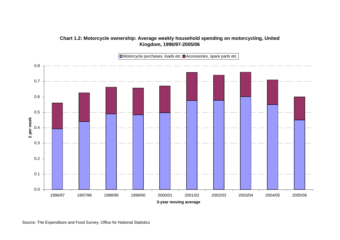

## **Chart 1.2: Motorcycle ownership: Average weekly household spending on motorcycling, United Kingdom, 1996/97-2005/06**

Source: The Expenditure and Food Survey, Office for National Statistics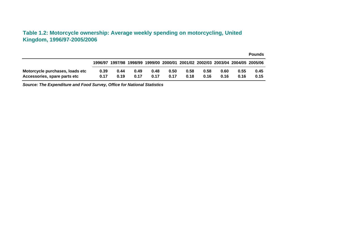## **Table 1.2: Motorcycle ownership: Average weekly spending on motorcycling, United Kingdom, 1996/97-2005/2006**

|                                 |         |      |      |                                                                         |      |      |      |      |      | <b>Pounds</b> |
|---------------------------------|---------|------|------|-------------------------------------------------------------------------|------|------|------|------|------|---------------|
|                                 | 1996/97 |      |      | 1997/98 1998/99 1999/00 2000/01 2001/02 2002/03 2003/04 2004/05 2005/06 |      |      |      |      |      |               |
| Motorcycle purchases, loads etc | 0.39    | 0.44 | 0.49 | 0.48                                                                    | 0.50 | 0.58 | 0.58 | 0.60 | 0.55 | 0.45          |
| Accessories, spare parts etc    | 0.17    | 0.19 | 0.17 | 0.17                                                                    | 0.17 | 0.18 | 0.16 | 0.16 | 0.16 | 0.15          |

*Source: The Expenditure and Food Survey, Office for National Statistics*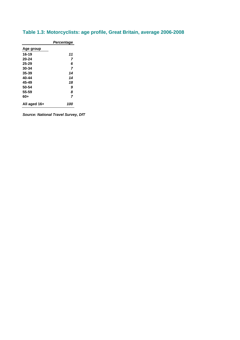|              | Percentage |
|--------------|------------|
| Age group    |            |
| $16 - 19$    | 11         |
| 20-24        | 7          |
| $25 - 29$    | 6          |
| 30-34        | 7          |
| $35 - 39$    | 14         |
| 40-44        | 14         |
| 45-49        | 18         |
| 50-54        | 9          |
| 55-59        | 8          |
| 60+          | 7          |
| All aged 16+ | 100        |

## **Table 1.3: Motorcyclists: age profile, Great Britain, average 2006-2008**

*Source: National Travel Survey, DfT*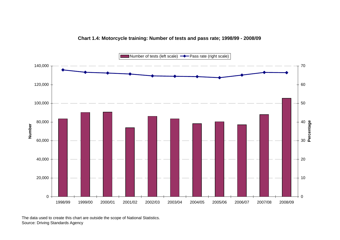

#### **Chart 1.4: Motorcycle training: Number of tests and pass rate; 1998/99 - 2008/09**

The data used to create this chart are outside the scope of National Statistics. Source: Driving Standards Agency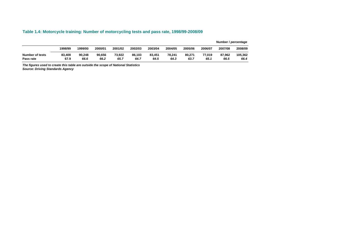#### **Table 1.4: Motorcycle training: Number of motorcycling tests and pass rate, 1998/99-2008/09**

|                 |         |         |         |         |         |         |         |         |         | Number / percentage |         |
|-----------------|---------|---------|---------|---------|---------|---------|---------|---------|---------|---------------------|---------|
|                 | 1998/99 | 1999/00 | 2000/01 | 2001/02 | 2002/03 | 2003/04 | 2004/05 | 2005/06 | 2006/07 | 2007/08             | 2008/09 |
| Number of tests | 83,408  | 90.248  | 90.656  | 73.922  | 86.103  | 83,451  | 78.241  | 80.271  | 77.019  | 87.962              | 105.362 |
| Pass rate       | 67.9    | 66.6    | 66.2    | 65.7    | 64.7    | 64.5    | 64.3    | 63.7    | 65.1    | 66.5                | 66.4    |

*The figures used to create this table are outside the scope of National Statistics Source: Driving Standards Agency*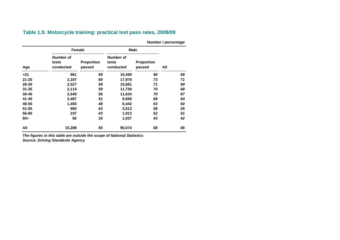|           |                                 |                             |                                 |                      | Number / percentage |  |  |  |
|-----------|---------------------------------|-----------------------------|---------------------------------|----------------------|---------------------|--|--|--|
|           | <b>Female</b>                   |                             |                                 | <b>Male</b>          |                     |  |  |  |
| Age       | Number of<br>tests<br>conducted | <b>Proportion</b><br>passed | Number of<br>tests<br>conducted | Proportion<br>passed | All                 |  |  |  |
| $21$      | 961                             | 59                          | 10,490                          | 66                   | 66                  |  |  |  |
| $21 - 25$ | 2,187                           | 60                          | 17,976                          | 73                   | 71                  |  |  |  |
| 26-30     | 2,527                           | 59                          | 15,681                          | 71                   | 69                  |  |  |  |
| $31 - 35$ | 2,114                           | 59                          | 11,730                          | 70                   | 68                  |  |  |  |
| 36-40     | 2,649                           | 56                          | 11,634                          | 70                   | 67                  |  |  |  |
| $41 - 45$ | 2,487                           | 51                          | 9,658                           | 68                   | 64                  |  |  |  |
| 46-50     | 1,450                           | 48                          | 6,442                           | 63                   | 60                  |  |  |  |
| $51 - 55$ | 660                             | 43                          | 3,513                           | 58                   | 55                  |  |  |  |
| 56-60     | 197                             | 43                          | 1,913                           | 52                   | 51                  |  |  |  |
| 60+       | 56                              | 16                          | 1,037                           | 43                   | 42                  |  |  |  |
| All       | 15,288                          | 55                          | 90,074                          | 68                   | 66                  |  |  |  |

**Table 1.5: Motorcycle training: practical test pass rates, 2008/09** 

*The figures in this table are outside the scope of National Statistics Source: Driving Standards Agency*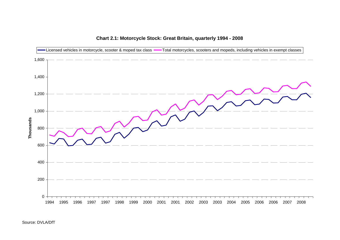

## **Chart 2.1: Motorcycle Stock: Great Britain, quarterly 1994 - 2008**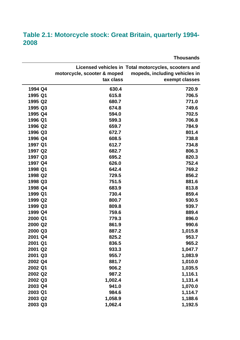## **Table 2.1: Motorcycle stock: Great Britain, quarterly 1994- 2008**

**Licensed vehicles in Total motorcycles, scooters and motorcycle, scooter & moped mopeds, including vehicles in tax class exempt classes 1994 Q4 630.4 720.9 1995 Q1 615.8 706.5 1995 Q2 680.7 771.0 1995 Q3 674.8 749.6 1995 Q4 594.0 702.5 1996 Q1 599.3 706.8 1996 Q2 659.7 784.9 1996 Q3** 672.7 672.7 801.4 **1996 Q4 608.5 738.8 1997 Q1 612.7 734.8 1997 Q2 682.7 806.3 1997 Q3 695.2 820.3 1997 Q4 626.0 752.4 1998 Q1 642.4 769.2 1998 Q2 729.5 856.2 1998 Q3 751.5 881.6 1998 Q4 683.9 813.8 1999 Q1 730.4 859.4 1999 Q2** 800.7 **800.7** 800.7 **1999 Q3** 809.8 **809.8** 939.7 **1999 Q4** 889.4 **2000 Q1 779.3 896.0 2000 Q2 861.9 990.6 2000 Q3 887.2 1,015.8 2001 Q4 825.2 953.7 2001 Q1 836.5 965.2 2001 Q2 933.3 1,047.7 2001 Q3 955.7 1,083.9 2002 Q4 881.7 1,010.0 2002 Q1 906.2 1,035.5 2002 Q2 987.2 1,116.1 2002 Q3 1,002.4 1,131.4 2003 Q4 941.0 1,070.0 2003 Q1 984.6 1,114.7 2003 Q2 1,058.9 1,188.6 2003 Q3 1,062.4 1,192.5** 

**Thousands**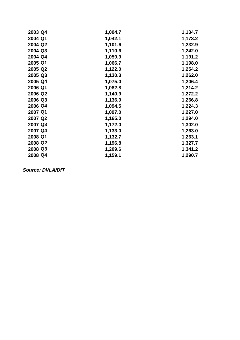| 2003 Q4 | 1,004.7 | 1,134.7 |
|---------|---------|---------|
| 2004 Q1 | 1,042.1 | 1,173.2 |
| 2004 Q2 | 1,101.6 | 1,232.9 |
| 2004 Q3 | 1,110.6 | 1,242.0 |
| 2004 Q4 | 1,059.9 | 1,191.2 |
| 2005 Q1 | 1,066.7 | 1,198.0 |
| 2005 Q2 | 1,122.0 | 1,254.2 |
| 2005 Q3 | 1,130.3 | 1,262.0 |
| 2005 Q4 | 1,075.0 | 1,206.4 |
| 2006 Q1 | 1,082.8 | 1,214.2 |
| 2006 Q2 | 1,140.9 | 1,272.2 |
| 2006 Q3 | 1,136.9 | 1,266.8 |
| 2006 Q4 | 1,094.5 | 1,224.3 |
| 2007 Q1 | 1,097.0 | 1,227.0 |
| 2007 Q2 | 1,165.0 | 1,294.0 |
| 2007 Q3 | 1,172.0 | 1,302.0 |
| 2007 Q4 | 1,133.0 | 1,263.0 |
| 2008 Q1 | 1,132.7 | 1,263.1 |
| 2008 Q2 | 1,196.8 | 1,327.7 |
| 2008 Q3 | 1,209.6 | 1,341.2 |
| 2008 Q4 | 1,159.1 | 1,290.7 |
|         |         |         |

*Source: DVLA/DfT*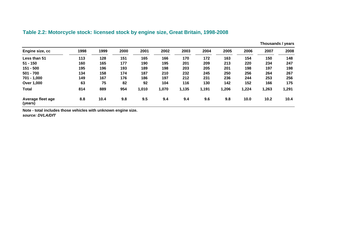## **Table 2.2: Motorcycle stock: licensed stock by engine size, Great Britain, 1998-2008**

|                              |      |      |      |       |       |       |       |       |       |       | Thousands / years |
|------------------------------|------|------|------|-------|-------|-------|-------|-------|-------|-------|-------------------|
| Engine size, cc              | 1998 | 1999 | 2000 | 2001  | 2002  | 2003  | 2004  | 2005  | 2006  | 2007  | 2008              |
| Less than 51                 | 113  | 128  | 151  | 165   | 166   | 170   | 172   | 163   | 154   | 150   | 148               |
| $51 - 150$                   | 160  | 165  | 177  | 190   | 195   | 201   | 209   | 213   | 220   | 234   | 247               |
| $151 - 500$                  | 195  | 196  | 193  | 189   | 198   | 203   | 205   | 201   | 198   | 197   | 198               |
| $501 - 700$                  | 134  | 158  | 174  | 187   | 210   | 232   | 245   | 250   | 256   | 264   | 267               |
| $701 - 1,000$                | 149  | 167  | 176  | 186   | 197   | 212   | 231   | 236   | 244   | 253   | 256               |
| Over 1,000                   | 63   | 75   | 82   | 92    | 104   | 116   | 130   | 142   | 152   | 166   | 175               |
| <b>Total</b>                 | 814  | 889  | 954  | 1,010 | 1,070 | 1,135 | 1,191 | 1,206 | 1,224 | 1,263 | 1,291             |
| Average fleet age<br>(years) | 8.8  | 10.4 | 9.8  | 9.5   | 9.4   | 9.4   | 9.6   | 9.8   | 10.0  | 10.2  | 10.4              |

**Note - total includes those vehicles with unknown engine size.** 

*source: DVLA/DfT*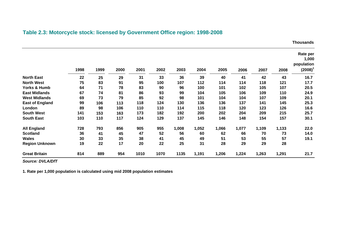## **Table 2.3: Motorcycle stock: licensed by Government Office region: 1998-2008**

**Thousands** 

|                         | 1998 | 1999 | 2000 | 2001 | 2002 | 2003  | 2004  | 2005  | 2006  | 2007  | 2008  | Rate per<br>1,000<br>population<br>$(2008)^{1}$ |
|-------------------------|------|------|------|------|------|-------|-------|-------|-------|-------|-------|-------------------------------------------------|
| <b>North East</b>       | 22   | 25   | 29   | 31   | 33   | 36    | 39    | 40    | 41    | 42    | 43    | 16.7                                            |
| <b>North West</b>       | 75   | 83   | 91   | 95   | 100  | 107   | 112   | 114   | 114   | 118   | 121   | 17.7                                            |
| <b>Yorks &amp; Humb</b> | 64   | 71   | 78   | 83   | 90   | 96    | 100   | 101   | 102   | 105   | 107   | 20.5                                            |
| <b>East Midlands</b>    | 67   | 74   | 81   | 86   | 93   | 99    | 104   | 105   | 106   | 109   | 110   | 24.9                                            |
| <b>West Midlands</b>    | 69   | 73   | 79   | 85   | 92   | 98    | 101   | 104   | 104   | 107   | 109   | 20.1                                            |
| <b>East of England</b>  | 99   | 106  | 113  | 118  | 124  | 130   | 136   | 136   | 137   | 141   | 145   | 25.3                                            |
| London                  | 89   | 98   | 106  | 110  | 110  | 114   | 115   | 118   | 120   | 123   | 126   | 16.6                                            |
| <b>South West</b>       | 141  | 153  | 163  | 173  | 182  | 192   | 200   | 202   | 204   | 209   | 215   | 25.7                                            |
| <b>South East</b>       | 103  | 110  | 117  | 124  | 129  | 137   | 145   | 146   | 148   | 154   | 157   | 30.1                                            |
| <b>All England</b>      | 728  | 793  | 856  | 905  | 955  | 1,008 | 1,052 | 1,066 | 1,077 | 1,109 | 1,133 | 22.0                                            |
| <b>Scotland</b>         | 36   | 41   | 45   | 47   | 52   | 56    | 60    | 62    | 66    | 70    | 73    | 14.0                                            |
| <b>Wales</b>            | 30   | 33   | 35   | 38   | 41   | 45    | 49    | 51    | 53    | 55    | 57    | 19.1                                            |
| <b>Region Unknown</b>   | 19   | 22   | 17   | 20   | 22   | 25    | 31    | 28    | 29    | 29    | 28    |                                                 |
| <b>Great Britain</b>    | 814  | 889  | 954  | 1010 | 1070 | 1135  | 1,191 | 1,206 | 1,224 | 1,263 | 1,291 | 21.7                                            |

*Source: DVLA/DfT* 

**1. Rate per 1,000 population is calculated using mid 2008 population estimates**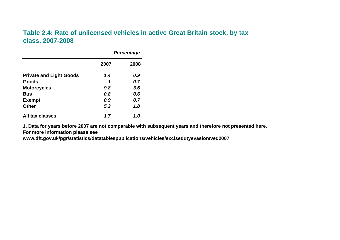## **Table 2.4: Rate of unlicensed vehicles in active Great Britain stock, by tax class, 2007-2008**

|                                |      | <b>Percentage</b> |
|--------------------------------|------|-------------------|
|                                | 2007 | 2008              |
| <b>Private and Light Goods</b> | 1.4  | 0.9               |
| Goods                          | 1    | 0.7               |
| <b>Motorcycles</b>             | 9.8  | 3.6               |
| Bus                            | 0.8  | 0.6               |
| <b>Exempt</b>                  | 0.9  | 0.7               |
| <b>Other</b>                   | 5.2  | 1.8               |
| All tax classes                | 1.7  | 1.0               |

**1. Data for years before 2007 are not comparable with subsequent years and therefore not presented here. For more information please see** 

**www.dft.gov.uk/pgr/statistics/datatablespublications/vehicles/excisedutyevasion/ved2007**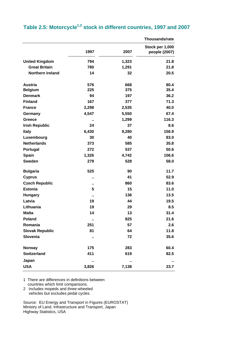|  |  | Table 2.5: Motorcycle $^{1,2}$ stock in different countries, 1997 and 2007 |  |
|--|--|----------------------------------------------------------------------------|--|
|--|--|----------------------------------------------------------------------------|--|

|                         |       |       | <b>Thousands/rate</b>            |
|-------------------------|-------|-------|----------------------------------|
|                         | 1997  | 2007  | Stock per 1,000<br>people (2007) |
| <b>United Kingdom</b>   | 794   | 1,323 | 21.8                             |
| <b>Great Britain</b>    | 780   | 1,291 | 21.8                             |
| <b>Northern Ireland</b> | 14    | 32    | 20.5                             |
| <b>Austria</b>          | 576   | 668   | 80.4                             |
| <b>Belgium</b>          | 225   | 375   | 35.4                             |
| <b>Denmark</b>          | 94    | 197   | 36.2                             |
| <b>Finland</b>          | 167   | 377   | 71.3                             |
| <b>France</b>           | 2,298 | 2,535 | 40.0                             |
| Germany                 | 4,547 | 5,550 | 67.4                             |
| Greece                  | ٠.    | 1,299 | 116.3                            |
| <b>Irish Republic</b>   | 24    | 37    | 8.6                              |
| <b>Italy</b>            | 6,430 | 9,280 | 156.9                            |
| Luxembourg              | 30    | 40    | 83.0                             |
| <b>Netherlands</b>      | 373   | 585   | 35.8                             |
| Portugal                | 272   | 537   | 50.6                             |
| Spain                   | 1,326 | 4,742 | 106.6                            |
| <b>Sweden</b>           | 279   | 528   | 58.0                             |
| <b>Bulgaria</b>         | 525   | 90    | 11.7                             |
| <b>Cyprus</b>           | ٠.    | 41    | 52.9                             |
| <b>Czech Republic</b>   | ٠.    | 860   | 83.6                             |
| <b>Estonia</b>          | 5     | 15    | 11.0                             |
| <b>Hungary</b>          | Ω,    | 136   | 13.5                             |
| Latvia                  | 19    | 44    | 19.5                             |
| Lithuania               | 19    | 29    | 8.5                              |
| <b>Malta</b>            | 14    | 13    | 31.4                             |
| <b>Poland</b>           | Ω,    | 825   | 21.6                             |
| Romania                 | 251   | 57    | 2.6                              |
| <b>Slovak Republic</b>  | 81    | 64    | 11.8                             |
| Slovenia                | ٠.    | 72    | 35.6                             |
| <b>Norway</b>           | 175   | 283   | 60.4                             |
| <b>Switzerland</b>      | 411   | 619   | 82.5                             |
| Japan                   |       |       |                                  |
| <b>USA</b>              | 3,826 | 7,138 | 23.7                             |

1 There are differences in definitions between countries which limit comparisons.

2 Includes mopeds and three-wheeled vehicles but excludes pedal cycles.

Source: EU Energy and Transport in Figures (EUROSTAT) Ministry of Land, Infrastructure and Transport, Japan Highway Statistics, USA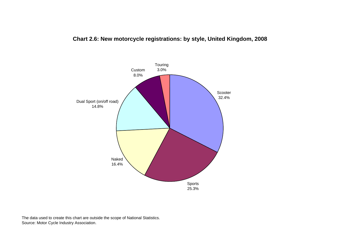## **Chart 2.6: New motorcycle registrations: by style, United Kingdom, 2008**



The data used to create this chart are outside the scope of National Statistics. Source: Motor Cycle Industry Association.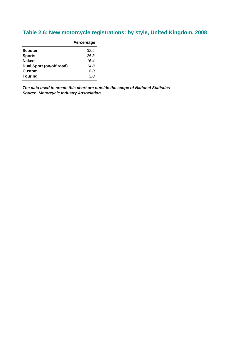## **Table 2.6: New motorcycle registrations: by style, United Kingdom, 2008**

|                          | Percentage |
|--------------------------|------------|
| <b>Scooter</b>           | 32.4       |
| <b>Sports</b>            | 25.3       |
| <b>Naked</b>             | 16.4       |
| Dual Sport (on/off road) | 14.8       |
| <b>Custom</b>            | 8.0        |
| <b>Touring</b>           | 3.0        |
|                          |            |

*The data used to create this chart are outside the scope of National Statistics Source: Motorcycle Industry Association*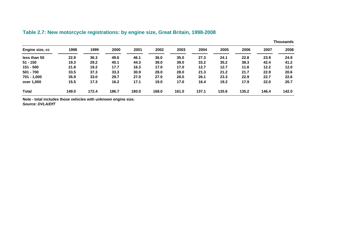|                 |       |       |       |       |       |       |       |       |       |       | <b>Thousands</b> |
|-----------------|-------|-------|-------|-------|-------|-------|-------|-------|-------|-------|------------------|
| Engine size, cc | 1998  | 1999  | 2000  | 2001  | 2002  | 2003  | 2004  | 2005  | 2006  | 2007  | 2008             |
| less than 50    | 22.9  | 36.3  | 49.6  | 46.1  | 36.0  | 35.0  | 27.3  | 24.1  | 22.8  | 23.9  | 24.9             |
| $51 - 150$      | 19.3  | 29.2  | 40.1  | 44.3  | 39.0  | 39.0  | 33.2  | 35.2  | 38.3  | 42.4  | 41.2             |
| 151 - 500       | 21.8  | 19.2  | 17.7  | 16.3  | 17.0  | 17.0  | 12.7  | 12.7  | 11.6  | 12.2  | 12.0             |
| $501 - 700$     | 33.5  | 37.3  | 33.3  | 30.9  | 28.0  | 28.0  | 21.3  | 21.2  | 21.7  | 22.9  | 20.6             |
| $701 - 1,000$   | 35.9  | 33.0  | 29.7  | 27.0  | 27.0  | 26.0  | 26.1  | 23.3  | 22.9  | 22.7  | 22.6             |
| over 1,000      | 15.5  | 17.3  | 16.2  | 17.1  | 19.0  | 17.0  | 16.4  | 19.2  | 17.9  | 22.0  | 20.7             |
| <b>Total</b>    | 149.0 | 172.4 | 186.7 | 180.0 | 168.0 | 161.0 | 137.1 | 135.6 | 135.2 | 146.4 | 142.0            |

## **Table 2.7: New motorcycle registrations: by engine size, Great Britain, 1998-2008**

**Note - total includes those vehicles with unknown engine size.**  *Source: DVLA/DfT*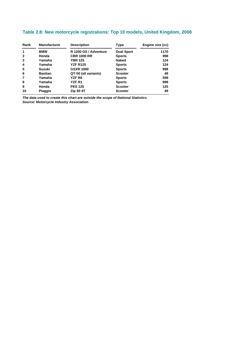## **Table 2.8: New motorcycle registrations: Top 10 models, United Kingdom, 2008**

| Rank<br><b>Manufacturer</b> |                | <b>Description</b>    | Type              | Engine size (cc) |  |
|-----------------------------|----------------|-----------------------|-------------------|------------------|--|
| 1                           | <b>BMW</b>     | R 1200 GS / Adventure | <b>Dual Sport</b> | 1170             |  |
| $\mathbf{2}$                | Honda          | <b>CBR 1000 RR</b>    | <b>Sports</b>     | 998              |  |
| 3                           | Yamaha         | <b>YBR 125</b>        | <b>Naked</b>      | 124              |  |
| 4                           | Yamaha         | <b>YZF R125</b>       | <b>Sports</b>     | 124              |  |
| 5                           | <b>Suzuki</b>  | <b>GSXR 1000</b>      | <b>Sports</b>     | 998              |  |
| 6                           | <b>Baotian</b> | QT-50 (all variants)  | <b>Scooter</b>    | 49               |  |
| 7                           | Yamaha         | <b>YZF R6</b>         | <b>Sports</b>     | 599              |  |
| 8                           | Yamaha         | YZFR1                 | <b>Sports</b>     | 998              |  |
| 9                           | Honda          | <b>PES 125</b>        | <b>Scooter</b>    | 125              |  |
| 10                          | <b>Piaggio</b> | Zip 50 4T             | <b>Scooter</b>    | 49               |  |

*The data used to create this chart are outside the scope of National Statistics Source: Motorcycle Industry Association*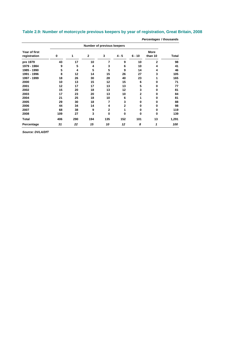| Percentages / thousands       |             |                            |              |                |              |                         |                        |       |  |  |  |
|-------------------------------|-------------|----------------------------|--------------|----------------|--------------|-------------------------|------------------------|-------|--|--|--|
|                               |             | Number of previous keepers |              |                |              |                         |                        |       |  |  |  |
| Year of first<br>registration | $\mathbf 0$ | 1                          | $\mathbf{2}$ | 3              | $4 - 5$      | $6 - 10$                | <b>More</b><br>than 10 | Total |  |  |  |
| pre 1979                      | 43          | 17                         | 10           | 7              | 9            | 10                      | $\overline{2}$         | 98    |  |  |  |
| 1979 - 1984                   | 9           | 5                          | 4            | 3              | 6            | 10                      | 4                      | 41    |  |  |  |
| 1985 - 1990                   | 5           | 4                          | 5            | 5              | 9            | 14                      | 4                      | 46    |  |  |  |
| 1991 - 1996                   | 8           | 12                         | 14           | 15             | 26           | 27                      | 3                      | 105   |  |  |  |
| 1997 - 1999                   | 18          | 26                         | 30           | 28             | 40           | 23                      |                        | 165   |  |  |  |
| 2000                          | 10          | 13                         | 15           | 12             | 15           | 6                       | 0                      | 71    |  |  |  |
| 2001                          | 12          | 17                         | 17           | 13             | 13           | 5                       | 0                      | 77    |  |  |  |
| 2002                          | 15          | 20                         | 18           | 13             | 12           | 3                       | 0                      | 81    |  |  |  |
| 2003                          | 17          | 23                         | 20           | 13             | 10           | $\overline{\mathbf{2}}$ | 0                      | 84    |  |  |  |
| 2004                          | 21          | 25                         | 18           | 10             | 6            | 1                       | 0                      | 81    |  |  |  |
| 2005                          | 29          | 30                         | 18           | 7              | 3            | 0                       | 0                      | 88    |  |  |  |
| 2006                          | 44          | 34                         | 14           | 4              | $\mathbf{2}$ | 0                       | 0                      | 98    |  |  |  |
| 2007                          | 68          | 38                         | 9            | $\overline{2}$ | 1            | 0                       | 0                      | 119   |  |  |  |
| 2008                          | 109         | 27                         | 3            | $\bf{0}$       | 0            | 0                       | 0                      | 139   |  |  |  |
| Total                         | 406         | 290                        | 194          | 135            | 152          | 101                     | 13                     | 1,291 |  |  |  |
| Percentage                    | 31          | 22                         | 15           | 10             | 12           | 8                       | 1                      | 100   |  |  |  |
|                               |             |                            |              |                |              |                         |                        |       |  |  |  |

### **Table 2.9: Number of motorcycle previous keepers by year of registration, Great Britain, 2008**

*Source: DVLA/DfT*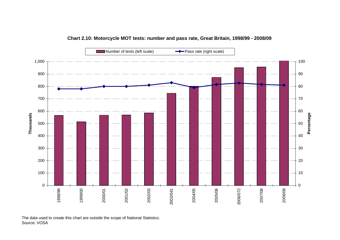

#### **Chart 2.10: Motorcycle MOT tests: number and pass rate, Great Britain, 1998/99 - 2008/09**

The data used to create this chart are outside the scope of National Statistics. Source: VOSA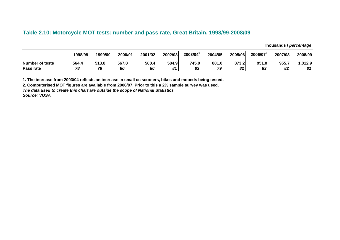### **Table 2.10: Motorcycle MOT tests: number and pass rate, Great Britain, 1998/99-2008/09**

**Thousands /** *percentage* 

|                        | 1998/99 | 1999/00 | 2000/01 | 2001/02 | 2002/03 | 2003/04 | 2004/05 | 2005/06 | 2006/07 | 2007/08 | 2008/09 |
|------------------------|---------|---------|---------|---------|---------|---------|---------|---------|---------|---------|---------|
| <b>Number of tests</b> | 564.4   | 513.8   | 567.8   | 568.4   | 584.9   | 745.0   | 801.0   | 873.2   | 951.0   | 955.7   | .012.9  |
| Pass rate              | 78      | 78      | 80      | 80      | 81      | 83      | 79      | 82      | 83      | 82      | 81      |

**1. The increase from 2003/04 reflects an increase in small cc scooters, bikes and mopeds being tested.** 

**2. Computerised MOT figures are available from 2006/07. Prior to this a 2% sample survey was used.** 

*The data used to create this chart are outside the scope of National Statistics* 

*Source: VOSA*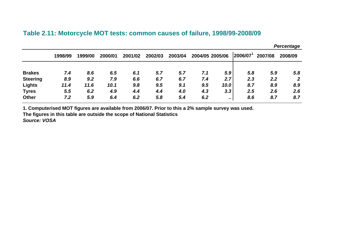## **Table 2.11: Motorcycle MOT tests: common causes of failure, 1998/99-2008/0 9**

|                 |         |         |         |         |         |         |     |                 |         |         | <i>ı</i> vrvonlayo |
|-----------------|---------|---------|---------|---------|---------|---------|-----|-----------------|---------|---------|--------------------|
|                 | 1998/99 | 1999/00 | 2000/01 | 2001/02 | 2002/03 | 2003/04 |     | 2004/05 2005/06 | 2006/07 | 2007/08 | 2008/09            |
| <b>Brakes</b>   | 7.4     | 8.6     | 6.5     | 6.1     | 5.7     | 5.7     | 7.1 | 5.9             | 5.8     | 5.9     | 5.8                |
| <b>Steering</b> | 8.9     | 9.2     | 7.9     | 6.6     | 6.7     | 6.7     | 7.4 | 2.7             | 2.3     | 2.2     | $\overline{2}$     |
| <b>Lights</b>   | 11.4    | 11.6    | 10.1    | 9.8     | 9.5     | 9.1     | 9.5 | 10.0            | 8.7     | 8.9     | 8.9                |
| <b>Tyres</b>    | 5.5     | 6.2     | 4.9     | 4.4     | 4.4     | 4.0     | 4.3 | 3.3             | 2.5     | 2.6     | 2.6                |
| <b>Other</b>    | 7.2     | 5.9     | 6.4     | 6.2     | 5.8     | 5.4     | 6.2 |                 | 8.6     | 8.7     | 8.7                |

*Percentage* 

**1. Computerised MOT figures are available from 2006/07. Prior to this a 2% sample survey was used.** 

**The figures in this table are outside the scope of National Statistics** 

*Source: VOSA*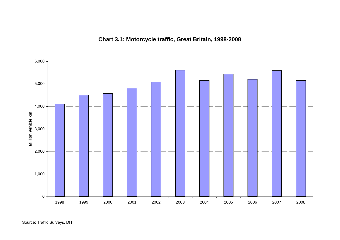

## **Chart 3.1: Motorcycle traffic, Great Britain, 1998-2008**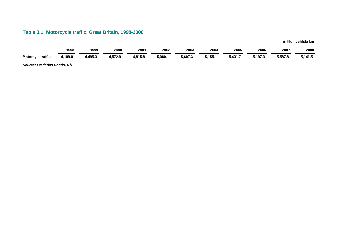## **Table 3.1: Motorcycle traffic, Great Britain, 1998-2008**

**million vehicle km** 

|                          | 1998    | 1999    | 2000    | 2001    | 2002    | 2003    | 2004    | 2005    | 2006    | 2007    | 2008    |
|--------------------------|---------|---------|---------|---------|---------|---------|---------|---------|---------|---------|---------|
| <b>Motorcyle traffic</b> | 4,109.0 | 4,495.3 | 4,572.9 | 1,815.8 | 5,080.1 | 5,607.3 | 5,155.1 | 5,431.7 | 5,197.3 | 5,587.8 | 5,141.5 |

*Source: Statistics Roads, DfT*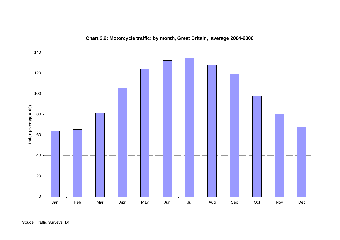

## **Chart 3.2: Motorcycle traffic: by month, Great Britain, average 2004-2008**

Souce: Traffic Surveys, DfT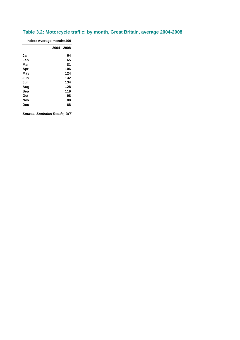## **Table 3.2: Motorcycle traffic: by month, Great Britain, average 2004-2008**

| Index: Average month=100 |             |  |  |  |  |
|--------------------------|-------------|--|--|--|--|
|                          | 2004 - 2008 |  |  |  |  |
| Jan                      | 64          |  |  |  |  |
| Feb                      | 65          |  |  |  |  |
| Mar                      | 81          |  |  |  |  |
| Apr                      | 106         |  |  |  |  |
| May                      | 124         |  |  |  |  |
| Jun                      | 132         |  |  |  |  |
| Jul                      | 134         |  |  |  |  |
| Aug                      | 128         |  |  |  |  |
| Sep                      | 119         |  |  |  |  |
| Oct                      | 98          |  |  |  |  |
| Nov                      | 80          |  |  |  |  |
| Dec                      | 68          |  |  |  |  |

*Source: Statistics Roads, DfT*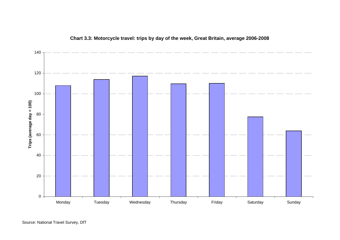

### **Chart 3.3: Motorcycle travel: trips by day of the week, Great Britain, average 2006-2008**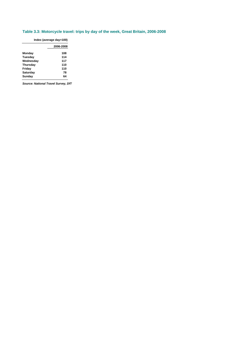#### **Table 3.3: Motorcycle travel: trips by day of the week, Great Britain, 2006-2008**

| Index (average day=100) |           |  |  |  |  |  |  |  |
|-------------------------|-----------|--|--|--|--|--|--|--|
|                         | 2006-2008 |  |  |  |  |  |  |  |
| Monday                  | 108       |  |  |  |  |  |  |  |
| Tuesday                 | 114       |  |  |  |  |  |  |  |
| Wednesday               | 117       |  |  |  |  |  |  |  |
| <b>Thursday</b>         | 110       |  |  |  |  |  |  |  |
| Friday                  | 110       |  |  |  |  |  |  |  |
| Saturday                | 78        |  |  |  |  |  |  |  |
| Sunday                  | 64        |  |  |  |  |  |  |  |

*Source: National Travel Survey, DfT*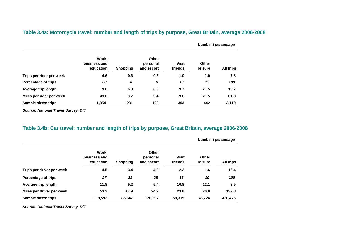|                          |                                    |                 | <b>Other</b><br>personal<br>and escort |                         | Number / percentage |                  |  |
|--------------------------|------------------------------------|-----------------|----------------------------------------|-------------------------|---------------------|------------------|--|
|                          | Work,<br>business and<br>education | <b>Shopping</b> |                                        | <b>Visit</b><br>friends | Other<br>leisure    | <b>All trips</b> |  |
| Trips per rider per week | 4.6                                | 0.6             | 0.5                                    | 1.0                     | 1.0                 | 7.6              |  |
| Percentage of trips      | 60                                 | 8               | 6                                      | 13                      | 13                  | 100              |  |
| Average trip length      | 9.6                                | 6.3             | 6.9                                    | 9.7                     | 21.5                | 10.7             |  |
| Miles per rider per week | 43.6                               | 3.7             | 3.4                                    | 9.6                     | 21.5                | 81.8             |  |
| Sample sizes: trips      | 1,854                              | 231             | 190                                    | 393                     | 442                 | 3,110            |  |

**Table 3.4a: Motorcycle travel: number and length of trips by purpose, Great Britain, average 2006-2008** 

*Source: National Travel Survey, DfT* 

#### **Table 3.4b: Car travel: number and length of trips by purpose, Great Britain, average 2006-2008**

|                            | Work.<br>business and<br>education | <b>Shopping</b> | <b>Other</b><br>personal<br>and escort | <b>Visit</b><br>friends | <b>Other</b><br>leisure | <b>All trips</b> |
|----------------------------|------------------------------------|-----------------|----------------------------------------|-------------------------|-------------------------|------------------|
| Trips per driver per week  | 4.5                                | 3.4             | 4.6                                    | 2.2                     | 1.6                     | 16.4             |
| <b>Percentage of trips</b> | 27                                 | 21              | 28                                     | 13                      | 10                      | 100              |
| Average trip length        | 11.8                               | 5.2             | 5.4                                    | 10.8                    | 12.1                    | 8.5              |
| Miles per driver per week  | 53.2                               | 17.9            | 24.9                                   | 23.8                    | 20.0                    | 139.8            |
| Sample sizes: trips        | 119,592                            | 85.547          | 120.297                                | 59,315                  | 45.724                  | 430,475          |

**Number /** *percentage* 

*Source: National Travel Survey, DfT*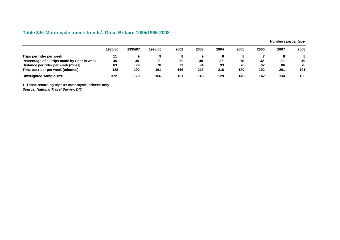## Table 3.5: Motorcycle travel: trends<sup>1</sup>, Great Britain: 1985/1986-2008

|                                               | 1985/86 | 1995/97 | 1998/00 | 2002 | 2003 | 2004 | 2005 | 2006 | 2007 | 2008 |
|-----------------------------------------------|---------|---------|---------|------|------|------|------|------|------|------|
| Trips per rider per week                      | 11      |         | 9       | O    |      |      |      |      |      | 8    |
| Percentage of all trips made by rider in week | 45      | 35      | 36      | 36   | 40   | 37   | 34   | 32   | 39   | 35   |
| Distance per rider per week (miles)           | 63      | 79      | 78      | 73   | 94   | 93   | 76   | 82   | 86   | 78   |
| Time per rider per week (minutes)             | 188     | 192     | 191     | 166  | 216  | 218  | 180  | 192  | 201  | 191  |
| Unweighted sample size                        | 372     | 178     | 166     | 131  | 143  | 129  | 149  | 142  | 134  | 155  |

**1. Those recording trips as motorcycle 'drivers' only** 

*Source: National Travel Survey, DfT* 

**Number /** *percentage*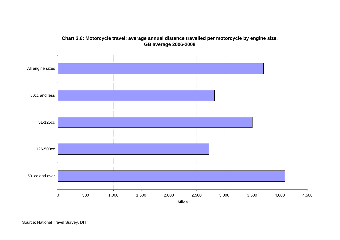

## **Chart 3.6: Motorcycle travel: average annual distance travelled per motorcycle by engine size, GB average 2006-2008**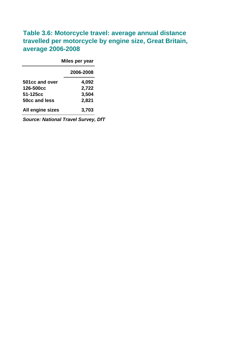## **Table 3.6: Motorcycle travel: average annual distance travelled per motorcycle by engine size, Great Britain, average 2006-2008**

|                  | Miles per year |
|------------------|----------------|
|                  | 2006-2008      |
| 501cc and over   | 4,092          |
| 126-500cc        | 2,722          |
| 51-125cc         | 3,504          |
| 50cc and less    | 2,821          |
| All engine sizes | 3,703          |

*Source: National Travel Survey, DfT*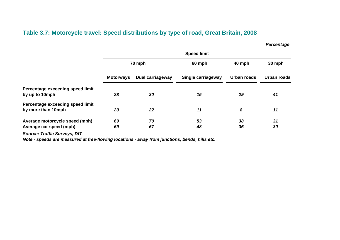## **Table 3.7: Motorcycle travel: Speed distributions by type of road, Great Britain, 2008**

*Percentage* 

|                                                           | <b>Speed limit</b> |                  |                    |             |             |  |  |  |
|-----------------------------------------------------------|--------------------|------------------|--------------------|-------------|-------------|--|--|--|
|                                                           |                    | 70 mph           | 60 mph             | 40 mph      | 30 mph      |  |  |  |
|                                                           | <b>Motorways</b>   | Dual carriageway | Single carriageway | Urban roads | Urban roads |  |  |  |
| Percentage exceeding speed limit<br>by up to 10mph        | 28                 | 30               | 15                 | 29          | 41          |  |  |  |
| Percentage exceeding speed limit<br>by more than 10mph    | 20                 | 22               | 11                 | 8           | 11          |  |  |  |
| Average motorcycle speed (mph)<br>Average car speed (mph) | 69<br>69           | 70<br>67         | 53<br>48           | 38<br>36    | 31<br>30    |  |  |  |

*Source: Traffic Surveys, DfT*

*Note - speeds are measured at free-flowing locations - away from junctions, bends, hills etc.*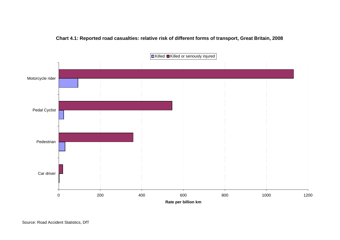

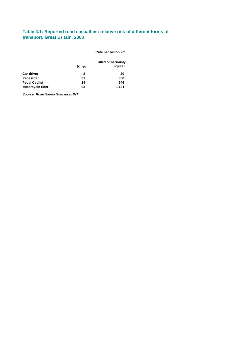#### **Table 4.1: Reported road casualties: relative risk of different forms of transport, Great Britain, 2008**

|                      |             | Rate per billion km |
|----------------------|-------------|---------------------|
|                      |             | Killed or seriously |
|                      | Killed      | injured             |
| <b>Car driver</b>    | $\mathbf 2$ | 20                  |
| Pedestrian           | 31          | 358                 |
| <b>Pedal Cyclist</b> | 24          | 546                 |
| Motorcycle rider     | 93          | 1,131               |
|                      |             |                     |

*Source: Road Safety Statistics, DfT*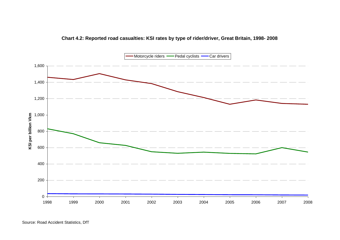

**Chart 4.2: Reported road casualties: KSI rates by type of rider/driver, Great Britain, 1998- 2008**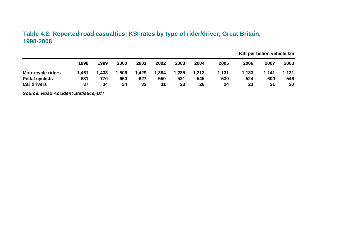## **Table 4.2: Reported road casualties: KSI rates by type of rider/driver, Great Britain, 1998-2008**

|                          | 1998  | 1999  | 2000 | 2001  | 2002  | 2003  | 2004  | 2005  | 2006  | 2007  | 2008  |
|--------------------------|-------|-------|------|-------|-------|-------|-------|-------|-------|-------|-------|
| <b>Motorcycle riders</b> | 1,461 | 1,433 | .506 | 1,429 | 1,384 | 1,285 | 1,213 | 1,131 | 1,183 | 1,141 | 1,131 |
| <b>Pedal cyclists</b>    | 831   | 770   | 660  | 627   | 550   | 531   | 545   | 530   | 524   | 600   | 546   |
| <b>Car drivers</b>       | 37    | 34    | 34   | 33    | 31    | 28    | 26    | 24    | 23    | 21    | 20    |

**KSI per billion vehicle km**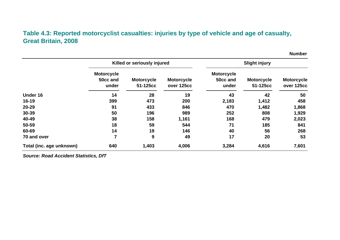## **Table 4.3: Reported motorcyclist casualties: injuries by type of vehicle and age of casualty, Great Britain, 2008**

|                          |                                        | Killed or seriously injured   |                                 | <b>Slight injury</b>                   |                               |                                 |  |
|--------------------------|----------------------------------------|-------------------------------|---------------------------------|----------------------------------------|-------------------------------|---------------------------------|--|
|                          | <b>Motorcycle</b><br>50cc and<br>under | <b>Motorcycle</b><br>51-125cc | <b>Motorcycle</b><br>over 125cc | <b>Motorcycle</b><br>50cc and<br>under | <b>Motorcycle</b><br>51-125cc | <b>Motorcycle</b><br>over 125cc |  |
| Under 16                 | 14                                     | 28                            | 19                              | 43                                     | 42                            | 50                              |  |
| $16 - 19$                | 399                                    | 473                           | 200                             | 2,183                                  | 1,412                         | 458                             |  |
| 20-29                    | 91                                     | 433                           | 846                             | 470                                    | 1,482                         | 1,868                           |  |
| 30-39                    | 50                                     | 196                           | 989                             | 252                                    | 808                           | 1,929                           |  |
| 40-49                    | 38                                     | 158                           | 1,161                           | 168                                    | 479                           | 2,023                           |  |
| 50-59                    | 18                                     | 59                            | 544                             | 71                                     | 185                           | 841                             |  |
| 60-69                    | 14                                     | 19                            | 146                             | 40                                     | 56                            | 268                             |  |
| 70 and over              | 7                                      | 9                             | 49                              | 17                                     | 20                            | 53                              |  |
| Total (inc. age unknown) | 640                                    | 1,403                         | 4,006                           | 3,284                                  | 4,616                         | 7,601                           |  |

*Source: Road Accident Statistics, DfT* 

**Number**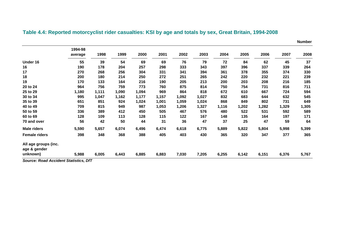|                                      |                    |       |       |       |       |       |       |       |       |       |       | <b>Number</b> |
|--------------------------------------|--------------------|-------|-------|-------|-------|-------|-------|-------|-------|-------|-------|---------------|
|                                      | 1994-98<br>average | 1998  | 1999  | 2000  | 2001  | 2002  | 2003  | 2004  | 2005  | 2006  | 2007  | 2008          |
| Under 16                             | 55                 | 39    | 54    | 69    | 69    | 76    | 79    | 72    | 84    | 62    | 45    | 37            |
| 16                                   | 190                | 178   | 204   | 257   | 298   | 333   | 343   | 397   | 396   | 337   | 339   | 264           |
| 17                                   | 270                | 268   | 256   | 304   | 331   | 341   | 394   | 361   | 378   | 355   | 374   | 330           |
| 18                                   | 200                | 180   | 214   | 250   | 272   | 251   | 265   | 242   | 220   | 232   | 221   | 239           |
| 19                                   | 170                | 133   | 164   | 216   | 190   | 205   | 213   | 200   | 203   | 208   | 216   | 185           |
| 20 to 24                             | 964                | 756   | 759   | 773   | 760   | 875   | 814   | 750   | 754   | 731   | 816   | 711           |
| 25 to 29                             | 1,180              | 1,111 | 1,090 | 1,094 | 969   | 864   | 818   | 672   | 610   | 667   | 724   | 594           |
| 30 to 34                             | 995                | 1,047 | 1,162 | 1,177 | 1,157 | 1,092 | 1,027 | 832   | 683   | 644   | 632   | 545           |
| 35 to 39                             | 651                | 851   | 924   | 1,024 | 1,001 | 1,059 | 1,024 | 868   | 849   | 802   | 731   | 649           |
| 40 to 49                             | 709                | 815   | 949   | 987   | 1,053 | 1,206 | 1,327 | 1,116 | 1,202 | 1,282 | 1,329 | 1,305         |
| 50 to 59                             | 336                | 389   | 412   | 450   | 505   | 467   | 576   | 480   | 522   | 531   | 592   | 589           |
| 60 to 69                             | 128                | 109   | 113   | 128   | 115   | 122   | 167   | 148   | 135   | 164   | 197   | 171           |
| 70 and over                          | 56                 | 42    | 50    | 44    | 31    | 36    | 47    | 37    | 25    | 47    | 59    | 64            |
| <b>Male riders</b>                   | 5,590              | 5,657 | 6,074 | 6,496 | 6,474 | 6,618 | 6,775 | 5,889 | 5,822 | 5,804 | 5,998 | 5,399         |
| <b>Female riders</b>                 | 398                | 348   | 368   | 388   | 405   | 403   | 430   | 365   | 320   | 347   | 377   | 365           |
| All age groups (inc.<br>age & gender |                    |       |       |       |       |       |       |       |       |       |       |               |
| unknown)                             | 5,988              | 6,005 | 6,443 | 6,885 | 6,883 | 7,030 | 7,205 | 6,255 | 6,142 | 6,151 | 6,376 | 5,767         |

## **Table 4.4: Reported motorcyclist rider casualties: KSI by age and totals by sex, Great Britain, 1994-2008**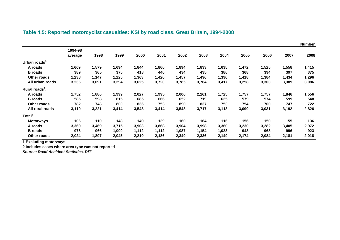|                            |         |       |       |       |       |       |       |       |       |       |       | <b>Number</b> |
|----------------------------|---------|-------|-------|-------|-------|-------|-------|-------|-------|-------|-------|---------------|
|                            | 1994-98 |       |       |       |       |       |       |       |       |       |       |               |
|                            | average | 1998  | 1999  | 2000  | 2001  | 2002  | 2003  | 2004  | 2005  | 2006  | 2007  | 2008          |
| Urban roads $\cdot$ :      |         |       |       |       |       |       |       |       |       |       |       |               |
| A roads                    | 1,609   | 1,579 | 1,694 | 1,844 | 1,860 | 1,894 | 1,833 | 1,635 | 1,472 | 1,525 | 1,558 | 1,415         |
| <b>B</b> roads             | 389     | 365   | 375   | 418   | 440   | 434   | 435   | 386   | 368   | 394   | 397   | 375           |
| Other roads                | 1,238   | 1,147 | 1,225 | 1,363 | 1,420 | 1,457 | 1,496 | 1,396 | 1,418 | 1,384 | 1,434 | 1,296         |
| All urban roads            | 3,236   | 3,091 | 3,294 | 3,625 | 3,720 | 3,785 | 3,764 | 3,417 | 3,258 | 3,303 | 3,389 | 3,086         |
| Rural roads <sup>1</sup> : |         |       |       |       |       |       |       |       |       |       |       |               |
| A roads                    | 1,752   | 1,880 | 1,999 | 2,027 | 1,995 | 2,006 | 2,161 | 1,725 | 1,757 | 1,757 | 1,846 | 1,556         |
| <b>B</b> roads             | 585     | 598   | 615   | 685   | 666   | 652   | 719   | 635   | 579   | 574   | 599   | 548           |
| Other roads                | 782     | 743   | 800   | 836   | 753   | 890   | 837   | 753   | 754   | 700   | 747   | 722           |
| All rural roads            | 3,119   | 3,221 | 3,414 | 3,548 | 3,414 | 3,548 | 3,717 | 3,113 | 3,090 | 3,031 | 3,192 | 2,826         |
| Total <sup>2</sup>         |         |       |       |       |       |       |       |       |       |       |       |               |
| <b>Motorways</b>           | 106     | 110   | 148   | 149   | 139   | 160   | 164   | 116   | 156   | 150   | 155   | 136           |
| A roads                    | 3,369   | 3,469 | 3,715 | 3,903 | 3,868 | 3,904 | 3,998 | 3,360 | 3,230 | 3,282 | 3,405 | 2,972         |
| <b>B</b> roads             | 976     | 966   | 1,000 | 1,112 | 1,112 | 1,087 | 1,154 | 1,023 | 948   | 968   | 996   | 923           |
| <b>Other roads</b>         | 2,024   | 1,897 | 2,045 | 2,210 | 2,186 | 2,349 | 2,336 | 2,149 | 2,174 | 2,084 | 2,181 | 2,018         |

## **Table 4.5: Reported motorcyclist casualties: KSI by road class, Great Britain, 1994-2008**

**1 Excluding motorways** 

**2 Includes cases where area type was not reported**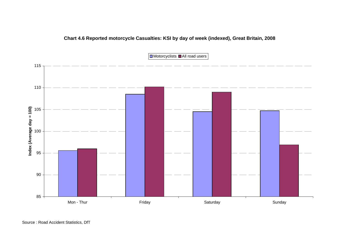

## **Chart 4.6 Reported motorcycle Casualties: KSI by day of week (indexed), Great Britain, 2008**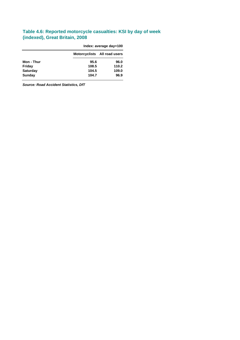#### **Table 4.6: Reported motorcycle casualties: KSI by day of week (indexed), Great Britain, 2008**

|                 | Index: average day=100 |                              |  |  |  |  |
|-----------------|------------------------|------------------------------|--|--|--|--|
|                 |                        | Motorcyclists All road users |  |  |  |  |
| Mon - Thur      | 95.6                   | 96.0                         |  |  |  |  |
| Friday          | 108.5                  | 110.2                        |  |  |  |  |
| <b>Saturday</b> | 104.5                  | 109.0                        |  |  |  |  |
| Sunday          | 104.7                  | 96.9                         |  |  |  |  |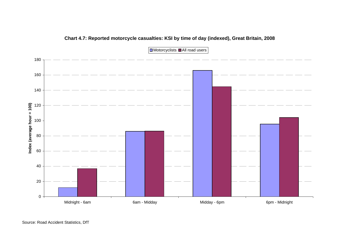

### **Chart 4.7: Reported motorcycle casualties: KSI by time of day (indexed), Great Britain, 2008**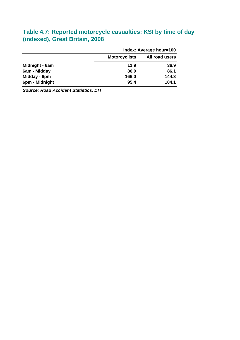## **Table 4.7: Reported motorcycle casualties: KSI by time of day (indexed), Great Britain, 2008**

|                | Index: Average hour=100 |                |  |  |  |
|----------------|-------------------------|----------------|--|--|--|
|                | <b>Motorcyclists</b>    | All road users |  |  |  |
| Midnight - 6am | 11.9                    | 36.9           |  |  |  |
| 6am - Midday   | 86.0                    | 86.1           |  |  |  |
| Midday - 6pm   | 166.0                   | 144.8          |  |  |  |
| 6pm - Midnight | 95.4                    | 104.1          |  |  |  |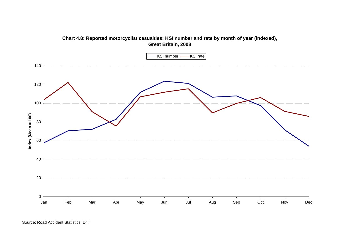

## **Chart 4.8: Reported motorcyclist casualties: KSI number and rate by month of year (indexed), Great Britain, 2008**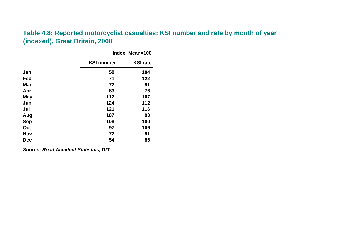## **Table 4.8: Reported motorcyclist casualties: KSI number and rate by month of year (indexed), Great Britain, 2008**

|            |                   | Index: Mean=100 |
|------------|-------------------|-----------------|
|            | <b>KSI number</b> | <b>KSI rate</b> |
| Jan        | 58                | 104             |
| Feb        | 71                | 122             |
| <b>Mar</b> | 72                | 91              |
| Apr        | 83                | 76              |
| <b>May</b> | 112               | 107             |
| Jun        | 124               | 112             |
| Jul        | 121               | 116             |
| Aug        | 107               | 90              |
| <b>Sep</b> | 108               | 100             |
| Oct        | 97                | 106             |
| <b>Nov</b> | 72                | 91              |
| <b>Dec</b> | 54                | 86              |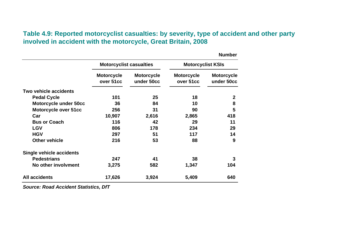## **Table 4.9: Reported motorcyclist casualties: by severity, type of accident and other party involved in accident with the motorcycle, Great Britain, 2008**

|                                 |                                |                                 |                                | <b>Number</b>                   |  |
|---------------------------------|--------------------------------|---------------------------------|--------------------------------|---------------------------------|--|
|                                 | <b>Motorcyclist casualties</b> |                                 | <b>Motorcyclist KSIs</b>       |                                 |  |
|                                 | <b>Motorcycle</b><br>over 51cc | <b>Motorcycle</b><br>under 50cc | <b>Motorcycle</b><br>over 51cc | <b>Motorcycle</b><br>under 50cc |  |
| Two vehicle accidents           |                                |                                 |                                |                                 |  |
| <b>Pedal Cycle</b>              | 101                            | 25                              | 18                             | $\boldsymbol{2}$                |  |
| <b>Motorcycle under 50cc</b>    | 36                             | 84                              | 10                             | 8                               |  |
| Motorcycle over 51cc            | 256                            | 31                              | 90                             | 5                               |  |
| Car                             | 10,907                         | 2,616                           | 2,865                          | 418                             |  |
| <b>Bus or Coach</b>             | 116                            | 42                              | 29                             | 11                              |  |
| <b>LGV</b>                      | 806                            | 178                             | 234                            | 29                              |  |
| <b>HGV</b>                      | 297                            | 51                              | 117                            | 14                              |  |
| <b>Other vehicle</b>            | 216                            | 53                              | 88                             | 9                               |  |
| <b>Single vehicle accidents</b> |                                |                                 |                                |                                 |  |
| <b>Pedestrians</b>              | 247                            | 41                              | 38                             | 3                               |  |
| No other involvment             | 3,275                          | 582                             | 1,347                          | 104                             |  |
| <b>All accidents</b>            | 17,626                         | 3,924                           | 5,409                          | 640                             |  |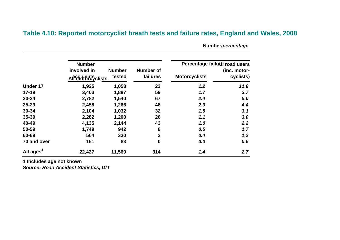## **Table 4.10: Reported motorcyclist breath tests and failure rates, England and Wales, 2008**

**Number/***percentage* 

|                       | <b>Number</b>                           |                         | Percentage failuxe road users |                      |                           |  |
|-----------------------|-----------------------------------------|-------------------------|-------------------------------|----------------------|---------------------------|--|
|                       | involved in<br><b>Affridents</b> clists | <b>Number</b><br>tested | <b>Number of</b><br>failures  | <b>Motorcyclists</b> | (inc. motor-<br>cyclists) |  |
| <b>Under 17</b>       | 1,925                                   | 1,058                   | 23                            | 1.2                  | 11.8                      |  |
| $17-19$               | 3,403                                   | 1,887                   | 59                            | 1.7                  | 3.7                       |  |
| $20 - 24$             | 2,782                                   | 1,540                   | 67                            | 2.4                  | 5.0                       |  |
| $25 - 29$             | 2,458                                   | 1,266                   | 48                            | 2.0                  | 4.4                       |  |
| 30-34                 | 2,104                                   | 1,032                   | 32                            | 1.5                  | 3.1                       |  |
| 35-39                 | 2,282                                   | 1,200                   | 26                            | 1.1                  | 3.0                       |  |
| 40-49                 | 4,135                                   | 2,144                   | 43                            | 1.0                  | 2.2                       |  |
| 50-59                 | 1,749                                   | 942                     | 8                             | 0.5                  | 1.7                       |  |
| 60-69                 | 564                                     | 330                     | $\overline{2}$                | 0.4                  | 1.2                       |  |
| 70 and over           | 161                                     | 83                      | $\boldsymbol{0}$              | 0.0                  | 0.6                       |  |
| All ages <sup>1</sup> | 22,427                                  | 11,569                  | 314                           | 1.4                  | 2.7                       |  |

**1 Includes age not known**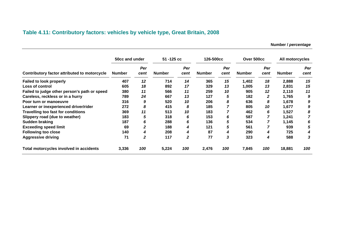## **Table 4.11: Contributory factors: vehicles by vehicle type, Great Britain, 2008**

**Number /** *percentage* 

|                                              | 50cc and under       |                   | 51 - 125 cc          |                   | 126-500cc            |                   | Over 500cc             |                   | All motorcycles        |                   |
|----------------------------------------------|----------------------|-------------------|----------------------|-------------------|----------------------|-------------------|------------------------|-------------------|------------------------|-------------------|
| Contributory factor attributed to motorcycle | <b>Number</b><br>407 | Per<br>cent<br>12 | <b>Number</b><br>714 | Per<br>cent<br>14 | <b>Number</b><br>365 | Per<br>cent<br>15 | <b>Number</b><br>1,402 | Per<br>cent<br>18 | <b>Number</b><br>2,888 | Per<br>cent<br>15 |
| <b>Failed to look properly</b>               |                      |                   |                      |                   |                      |                   |                        |                   |                        |                   |
| Loss of control                              | 605                  | 18                | 892                  | 17                | 329                  | 13                | 1,005                  | 13                | 2,831                  | 15                |
| Failed to judge other person's path or speed | 380                  | 11                | 566                  | 11                | 259                  | 10                | 905                    | 12                | 2,110                  | 11                |
| Careless, reckless or in a hurry             | 789                  | 24                | 667                  | 13                | 127                  | 5                 | 182                    | 2                 | 1,765                  | 9                 |
| Poor turn or manoeuvre                       | 316                  | 9                 | 520                  | 10                | 206                  | 8                 | 636                    | 8                 | 1,678                  | 9                 |
| Learner or inexperienced driver/rider        | 272                  | 8                 | 415                  | 8                 | 185                  |                   | 805                    | 10                | 1,677                  | 9                 |
| Travelling too fast for conditions           | 369                  | 11                | 513                  | 10                | 183                  |                   | 462                    | 6                 | 1,527                  | 8                 |
| Slippery road (due to weather)               | 183                  | 5                 | 318                  | 6                 | 153                  | 6                 | 587                    |                   | 1,241                  |                   |
| Sudden braking                               | 187                  | 6                 | 288                  | 6                 | 136                  | 5                 | 534                    |                   | 1,145                  | 6                 |
| <b>Exceeding speed limit</b>                 | 69                   | 2                 | 188                  | 4                 | 121                  | 5                 | 561                    |                   | 939                    | 5                 |
| <b>Following too close</b>                   | 140                  | 4                 | 208                  | 4                 | 87                   | 4                 | 290                    | 4                 | 725                    | 4                 |
| <b>Aggressive driving</b>                    | 71                   | 2                 | 117                  | $\boldsymbol{2}$  | 77                   | 3                 | 323                    | 4                 | 588                    | 3                 |
| Total motorcycles involved in accidents      | 3,336                | 100               | 5,224                | 100               | 2,476                | 100               | 7,845                  | 100               | 18,881                 | 100               |